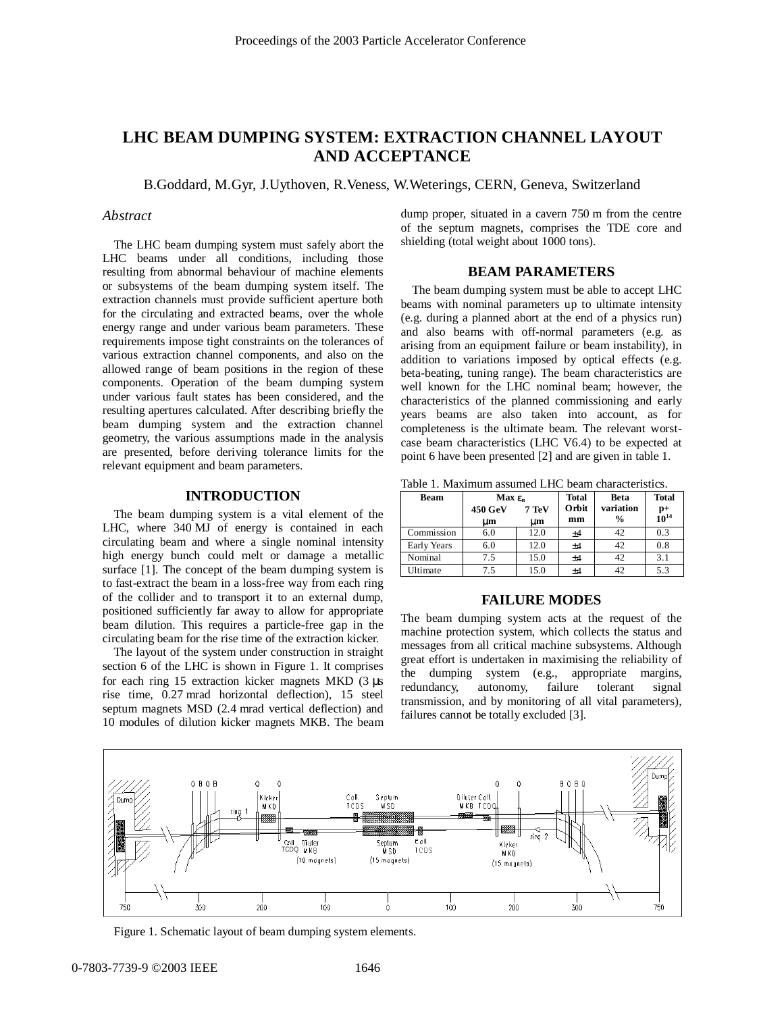# **LHC BEAM DUMPING SYSTEM: EXTRACTION CHANNEL LAYOUT AND ACCEPTANCE**

B.Goddard, M.Gyr, J.Uythoven, R.Veness, W.Weterings, CERN, Geneva, Switzerland

#### *Abstract*

The LHC beam dumping system must safely abort the LHC beams under all conditions, including those resulting from abnormal behaviour of machine elements or subsystems of the beam dumping system itself. The extraction channels must provide sufficient aperture both for the circulating and extracted beams, over the whole energy range and under various beam parameters. These requirements impose tight constraints on the tolerances of various extraction channel components, and also on the allowed range of beam positions in the region of these components. Operation of the beam dumping system under various fault states has been considered, and the resulting apertures calculated. After describing briefly the beam dumping system and the extraction channel geometry, the various assumptions made in the analysis are presented, before deriving tolerance limits for the relevant equipment and beam parameters.

#### **INTRODUCTION**

The beam dumping system is a vital element of the LHC, where 340 MJ of energy is contained in each circulating beam and where a single nominal intensity high energy bunch could melt or damage a metallic surface [1]. The concept of the beam dumping system is to fast-extract the beam in a loss-free way from each ring of the collider and to transport it to an external dump, positioned sufficiently far away to allow for appropriate beam dilution. This requires a particle-free gap in the circulating beam for the rise time of the extraction kicker.

The layout of the system under construction in straight section 6 of the LHC is shown in Figure 1. It comprises for each ring 15 extraction kicker magnets MKD (3 µs rise time, 0.27 mrad horizontal deflection), 15 steel septum magnets MSD (2.4 mrad vertical deflection) and 10 modules of dilution kicker magnets MKB. The beam dump proper, situated in a cavern 750 m from the centre of the septum magnets, comprises the TDE core and shielding (total weight about 1000 tons).

## **BEAM PARAMETERS**

The beam dumping system must be able to accept LHC beams with nominal parameters up to ultimate intensity (e.g. during a planned abort at the end of a physics run) and also beams with off-normal parameters (e.g. as arising from an equipment failure or beam instability), in addition to variations imposed by optical effects (e.g. beta-beating, tuning range). The beam characteristics are well known for the LHC nominal beam; however, the characteristics of the planned commissioning and early years beams are also taken into account, as for completeness is the ultimate beam. The relevant worstcase beam characteristics (LHC V6.4) to be expected at point 6 have been presented [2] and are given in table 1.

Table 1. Maximum assumed LHC beam characteristics.

| Beam            | Max $\boldsymbol{\epsilon}_n$ |                    | <b>Total</b> | <b>Beta</b>   | <b>Total</b> |
|-----------------|-------------------------------|--------------------|--------------|---------------|--------------|
|                 | <b>450 GeV</b>                | $7 \,\mathrm{TeV}$ | Orbit        | variation     | $10^{14}$    |
|                 | սու                           | um                 | mm           | $\frac{0}{0}$ |              |
| Commission      | 6.0                           | 12.0               | $+4$         | 42            | 0.3          |
| Early Years     | 6.0                           | 12.0               | ±4           | 42            | 0.8          |
| Nominal         | 7.5                           | 15.0               | ±4           | 42            | 3.1          |
| <b>Ultimate</b> | 7.5                           | 15.0               | $+4$         | 42            | 5.3          |

#### **FAILURE MODES**

The beam dumping system acts at the request of the machine protection system, which collects the status and messages from all critical machine subsystems. Although great effort is undertaken in maximising the reliability of the dumping system (e.g., appropriate margins, redundancy, autonomy, failure tolerant signal transmission, and by monitoring of all vital parameters), failures cannot be totally excluded [3].



Figure 1. Schematic layout of beam dumping system elements.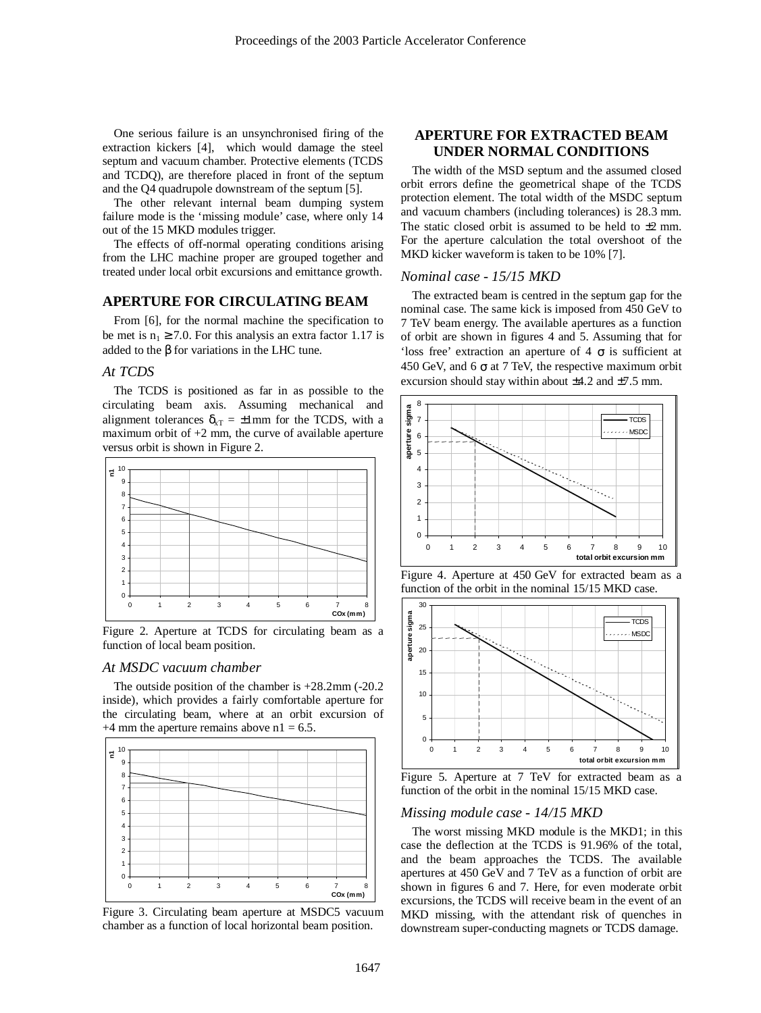One serious failure is an unsynchronised firing of the extraction kickers [4], which would damage the steel septum and vacuum chamber. Protective elements (TCDS and TCDQ), are therefore placed in front of the septum and the Q4 quadrupole downstream of the septum [5].

The other relevant internal beam dumping system failure mode is the 'missing module' case, where only 14 out of the 15 MKD modules trigger.

The effects of off-normal operating conditions arising from the LHC machine proper are grouped together and treated under local orbit excursions and emittance growth.

# **APERTURE FOR CIRCULATING BEAM**

From [6], for the normal machine the specification to be met is  $n_1 \ge 7.0$ . For this analysis an extra factor 1.17 is added to the  $\beta$  for variations in the LHC tune.

# *At TCDS*

The TCDS is positioned as far in as possible to the circulating beam axis. Assuming mechanical and alignment tolerances  $\delta_{\text{XT}} = \pm 1$ mm for the TCDS, with a maximum orbit of  $+2$  mm, the curve of available aperture versus orbit is shown in Figure 2.



Figure 2. Aperture at TCDS for circulating beam as a function of local beam position.

#### *At MSDC vacuum chamber*

The outside position of the chamber is +28.2mm (-20.2 inside), which provides a fairly comfortable aperture for the circulating beam, where at an orbit excursion of  $+4$  mm the aperture remains above n1 = 6.5.



Figure 3. Circulating beam aperture at MSDC5 vacuum chamber as a function of local horizontal beam position.

# **APERTURE FOR EXTRACTED BEAM UNDER NORMAL CONDITIONS**

The width of the MSD septum and the assumed closed orbit errors define the geometrical shape of the TCDS protection element. The total width of the MSDC septum and vacuum chambers (including tolerances) is 28.3 mm. The static closed orbit is assumed to be held to  $\pm 2$  mm. For the aperture calculation the total overshoot of the MKD kicker waveform is taken to be 10% [7].

#### *Nominal case - 15/15 MKD*

The extracted beam is centred in the septum gap for the nominal case. The same kick is imposed from 450 GeV to 7 TeV beam energy. The available apertures as a function of orbit are shown in figures 4 and 5. Assuming that for 'loss free' extraction an aperture of 4  $\sigma$  is sufficient at 450 GeV, and 6  $\sigma$  at 7 TeV, the respective maximum orbit excursion should stay within about  $\pm 4.2$  and  $\pm 7.5$  mm.







Figure 5. Aperture at 7 TeV for extracted beam as a function of the orbit in the nominal 15/15 MKD case.

#### *Missing module case - 14/15 MKD*

The worst missing MKD module is the MKD1; in this case the deflection at the TCDS is 91.96% of the total, and the beam approaches the TCDS. The available apertures at 450 GeV and 7 TeV as a function of orbit are shown in figures 6 and 7. Here, for even moderate orbit excursions, the TCDS will receive beam in the event of an MKD missing, with the attendant risk of quenches in downstream super-conducting magnets or TCDS damage.